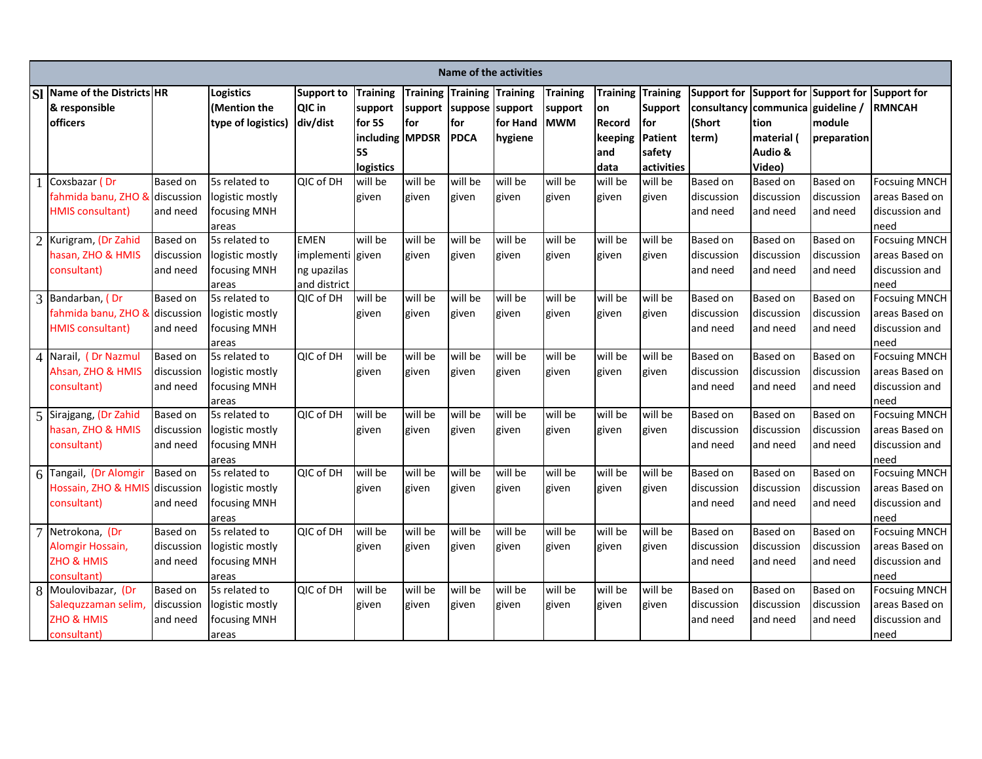| <b>Name of the activities</b> |                                |                 |                    |                   |                 |         |                            |          |                 |         |                   |                    |                       |                         |                      |
|-------------------------------|--------------------------------|-----------------|--------------------|-------------------|-----------------|---------|----------------------------|----------|-----------------|---------|-------------------|--------------------|-----------------------|-------------------------|----------------------|
|                               | SI Name of the Districts HR    |                 | Logistics          | <b>Support to</b> | <b>Training</b> |         | Training Training Training |          | <b>Training</b> |         | Training Training | <b>Support for</b> |                       | Support for Support for | <b>Support for</b>   |
|                               | & responsible                  |                 | Mention the        | QIC in            | support         | support | suppose                    | support  | support         | on      | <b>Support</b>    | consultancy        | communica guideline / |                         | <b>RMNCAH</b>        |
|                               | <b>officers</b>                |                 | type of logistics) | div/dist          | for 5S          | for     | for                        | for Hand | <b>MWM</b>      | Record  | for               | (Short             | tion                  | module                  |                      |
|                               |                                |                 |                    |                   | including MPDSR |         | <b>PDCA</b>                | hygiene  |                 | keeping | <b>Patient</b>    | term)              | material (            | preparation             |                      |
|                               |                                |                 |                    |                   | <b>5S</b>       |         |                            |          |                 | and     | safety            |                    | Audio &               |                         |                      |
|                               |                                |                 |                    |                   | logistics       |         |                            |          |                 | ldata   | activities        |                    | Video)                |                         |                      |
|                               | Coxsbazar (Dr                  | <b>Based on</b> | 5s related to      | QIC of DH         | will be         | will be | will be                    | will be  | will be         | will be | will be           | <b>Based on</b>    | Based on              | <b>Based on</b>         | <b>Focsuing MNCH</b> |
|                               | fahmida banu, ZHO &            | discussion      | logistic mostly    |                   | given           | given   | given                      | given    | given           | given   | given             | discussion         | discussion            | discussion              | areas Based on       |
|                               | <b>HMIS</b> consultant)        | and need        | focusing MNH       |                   |                 |         |                            |          |                 |         |                   | and need           | and need              | and need                | discussion and       |
|                               |                                |                 | areas              |                   |                 |         |                            |          |                 |         |                   |                    |                       |                         | need                 |
| 2                             | Kurigram, (Dr Zahid            | <b>Based on</b> | 5s related to      | <b>EMEN</b>       | will be         | will be | will be                    | will be  | will be         | will be | will be           | <b>Based on</b>    | Based on              | Based on                | <b>Focsuing MNCH</b> |
|                               | hasan, ZHO & HMIS              | discussion      | logistic mostly    | implementi        | given           | given   | given                      | given    | given           | given   | given             | discussion         | discussion            | discussion              | areas Based on       |
|                               | consultant)                    | and need        | focusing MNH       | ng upazilas       |                 |         |                            |          |                 |         |                   | and need           | and need              | and need                | discussion and       |
|                               |                                |                 | areas              | and district      |                 |         |                            |          |                 |         |                   |                    |                       |                         | need                 |
| 3                             | Bandarban, (Dr                 | <b>Based on</b> | 5s related to      | QIC of DH         | will be         | will be | will be                    | will be  | will be         | will be | will be           | <b>Based on</b>    | Based on              | <b>Based on</b>         | <b>Focsuing MNCH</b> |
|                               | fahmida banu, ZHO &            | discussion      | logistic mostly    |                   | given           | given   | given                      | given    | given           | given   | given             | discussion         | discussion            | discussion              | areas Based on       |
|                               | <b>HMIS</b> consultant)        | and need        | focusing MNH       |                   |                 |         |                            |          |                 |         |                   | and need           | and need              | and need                | discussion and       |
|                               |                                |                 | areas              |                   |                 |         |                            |          |                 |         |                   |                    |                       |                         | need                 |
|                               | 4 Narail, Dr Nazmul            | <b>Based on</b> | 5s related to      | QIC of DH         | will be         | will be | will be                    | will be  | will be         | will be | will be           | <b>Based on</b>    | Based on              | Based on                | <b>Focsuing MNCH</b> |
|                               | Ahsan, ZHO & HMIS              | discussion      | logistic mostly    |                   | given           | given   | given                      | given    | given           | given   | given             | discussion         | discussion            | discussion              | areas Based on       |
|                               | consultant)                    | and need        | focusing MNH       |                   |                 |         |                            |          |                 |         |                   | and need           | and need              | and need                | discussion and       |
|                               |                                |                 | areas              |                   |                 |         |                            |          |                 |         |                   |                    |                       |                         | need                 |
|                               | 5 Sirajgang, (Dr Zahid         | <b>Based on</b> | 5s related to      | QIC of DH         | will be         | will be | will be                    | will be  | will be         | will be | will be           | <b>Based on</b>    | Based on              | <b>Based on</b>         | <b>Focsuing MNCH</b> |
|                               | hasan, ZHO & HMIS              | discussion      | logistic mostly    |                   | given           | given   | given                      | given    | given           | given   | given             | discussion         | discussion            | discussion              | areas Based on       |
|                               | consultant)                    | and need        | focusing MNH       |                   |                 |         |                            |          |                 |         |                   | and need           | and need              | and need                | discussion and       |
|                               |                                |                 | areas              |                   |                 |         |                            |          |                 |         |                   |                    |                       |                         | need                 |
|                               | 6 Tangail, (Dr Alomgir         | <b>Based on</b> | 5s related to      | QIC of DH         | will be         | will be | will be                    | will be  | will be         | will be | will be           | <b>Based on</b>    | Based on              | <b>Based on</b>         | <b>Focsuing MNCH</b> |
|                               | Hossain, ZHO & HMIS discussion |                 | logistic mostly    |                   | given           | given   | given                      | given    | given           | given   | given             | discussion         | discussion            | discussion              | areas Based on       |
|                               | consultant)                    | and need        | focusing MNH       |                   |                 |         |                            |          |                 |         |                   | and need           | and need              | and need                | discussion and       |
|                               |                                |                 | areas              |                   |                 |         |                            |          |                 |         |                   |                    |                       |                         | need                 |
|                               | 7 Netrokona, (Dr               | <b>Based on</b> | 5s related to      | QIC of DH         | will be         | will be | will be                    | will be  | will be         | will be | will be           | <b>Based on</b>    | Based on              | <b>Based on</b>         | <b>Focsuing MNCH</b> |
|                               | Alomgir Hossain,               | discussion      | logistic mostly    |                   | given           | given   | given                      | given    | given           | given   | given             | discussion         | discussion            | discussion              | areas Based on       |
|                               | <b>ZHO &amp; HMIS</b>          | and need        | focusing MNH       |                   |                 |         |                            |          |                 |         |                   | and need           | and need              | and need                | discussion and       |
|                               | consultant)                    |                 | areas              |                   |                 |         |                            |          |                 |         |                   |                    |                       |                         | need                 |
| 8                             | Moulovibazar, (Dr              | <b>Based on</b> | 5s related to      | QIC of DH         | will be         | will be | will be                    | will be  | will be         | will be | will be           | <b>Based on</b>    | Based on              | <b>Based on</b>         | <b>Focsuing MNCH</b> |
|                               | Saleguzzaman selim             | discussion      | logistic mostly    |                   | given           | given   | given                      | given    | given           | given   | given             | discussion         | discussion            | discussion              | areas Based on       |
|                               | <b>ZHO &amp; HMIS</b>          | and need        | focusing MNH       |                   |                 |         |                            |          |                 |         |                   | and need           | and need              | and need                | discussion and       |
|                               | consultant)                    |                 | areas              |                   |                 |         |                            |          |                 |         |                   |                    |                       |                         | need                 |